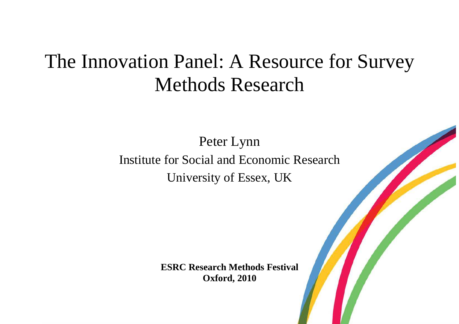# The Innovation Panel: A Resource for Survey Methods Research

Peter Lynn Institute for Social and Economic Research University of Essex, UK

> **ESRC Research Methods Festival Oxford, 2010**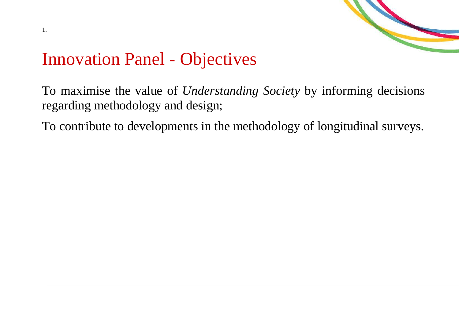

#### Innovation Panel - Objectives

To maximise the value of *Understanding Society* by informing decisions regarding methodology and design;

To contribute to developments in the methodology of longitudinal surveys.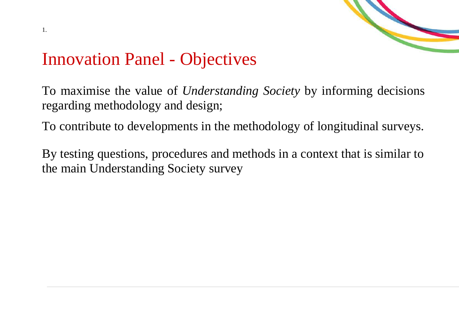

### Innovation Panel - Objectives

To maximise the value of *Understanding Society* by informing decisions regarding methodology and design;

To contribute to developments in the methodology of longitudinal surveys.

By testing questions, procedures and methods in a context that is similar to the main Understanding Society survey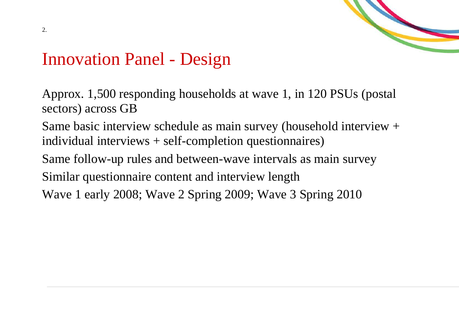

#### Innovation Panel - Design

Approx. 1,500 responding households at wave 1, in 120 PSUs (postal sectors) across GB

Same basic interview schedule as main survey (household interview + individual interviews + self-completion questionnaires)

Same follow-up rules and between-wave intervals as main survey

Similar questionnaire content and interview length

Wave 1 early 2008; Wave 2 Spring 2009; Wave 3 Spring 2010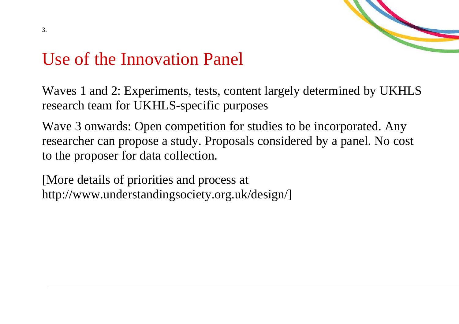

#### Use of the Innovation Panel

Waves 1 and 2: Experiments, tests, content largely determined by UKHLS research team for UKHLS-specific purposes

Wave 3 onwards: Open competition for studies to be incorporated. Any researcher can propose a study. Proposals considered by a panel. No cost to the proposer for data collection.

[More details of priorities and process at http://www.understandingsociety.org.uk/design/]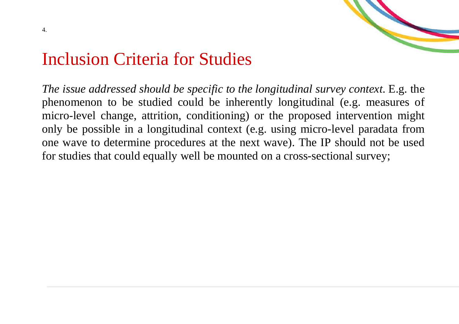



#### Inclusion Criteria for Studies

*The issue addressed should be specific to the longitudinal survey context*. E.g. the phenomenon to be studied could be inherently longitudinal (e.g. measures of micro-level change, attrition, conditioning) or the proposed intervention might only be possible in a longitudinal context (e.g. using micro-level paradata from one wave to determine procedures at the next wave). The IP should not be used for studies that could equally well be mounted on a cross-sectional survey;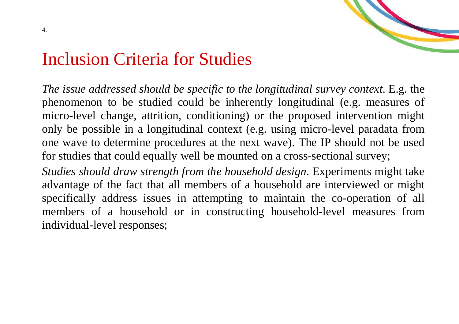



#### Inclusion Criteria for Studies

*The issue addressed should be specific to the longitudinal survey context*. E.g. the phenomenon to be studied could be inherently longitudinal (e.g. measures of micro-level change, attrition, conditioning) or the proposed intervention might only be possible in a longitudinal context (e.g. using micro-level paradata from one wave to determine procedures at the next wave). The IP should not be used for studies that could equally well be mounted on a cross-sectional survey;

*Studies should draw strength from the household design*. Experiments might take advantage of the fact that all members of a household are interviewed or might specifically address issues in attempting to maintain the co-operation of all members of a household or in constructing household-level measures from individual-level responses;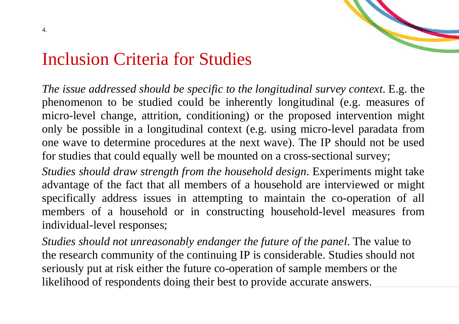



#### Inclusion Criteria for Studies

*The issue addressed should be specific to the longitudinal survey context*. E.g. the phenomenon to be studied could be inherently longitudinal (e.g. measures of micro-level change, attrition, conditioning) or the proposed intervention might only be possible in a longitudinal context (e.g. using micro-level paradata from one wave to determine procedures at the next wave). The IP should not be used for studies that could equally well be mounted on a cross-sectional survey;

*Studies should draw strength from the household design*. Experiments might take advantage of the fact that all members of a household are interviewed or might specifically address issues in attempting to maintain the co-operation of all members of a household or in constructing household-level measures from individual-level responses;

*Studies should not unreasonably endanger the future of the panel*. The value to the research community of the continuing IP is considerable. Studies should not seriously put at risk either the future co-operation of sample members or the likelihood of respondents doing their best to provide accurate answers.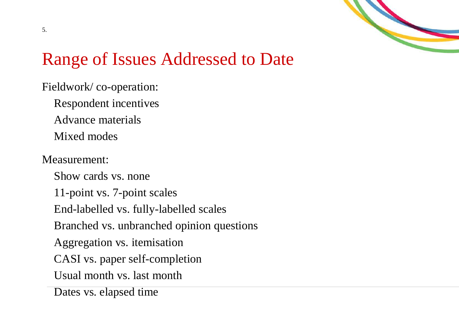

# Range of Issues Addressed to Date

Fieldwork/ co-operation: Respondent incentives Advance materials Mixed modes

#### Measurement:

Show cards vs. none 11-point vs. 7-point scales End-labelled vs. fully-labelled scales Branched vs. unbranched opinion questions Aggregation vs. itemisation CASI vs. paper self-completion Usual month vs. last month Dates vs. elapsed time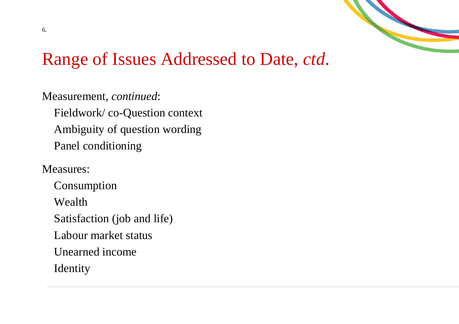

#### Range of Issues Addressed to Date, *ctd*.

Measurement, *continued*: Fieldwork/ co-Question context Ambiguity of question wording Panel conditioning

Measures:

Consumption Wealth Satisfaction (job and life) Labour market status Unearned income Identity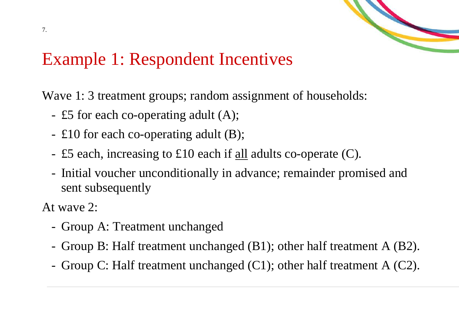

### Example 1: Respondent Incentives

Wave 1: 3 treatment groups; random assignment of households:

- £5 for each co-operating adult (A);
- £10 for each co-operating adult (B);
- $\pm$  £5 each, increasing to £10 each if <u>all</u> adults co-operate (C).
- Initial voucher unconditionally in advance; remainder promised and sent subsequently

At wave 2:

- Group A: Treatment unchanged -
- Group B: Half treatment unchanged  $(B1)$ ; other half treatment A  $(B2)$ .
- Group C: Half treatment unchanged  $(C1)$ ; other half treatment A  $(C2)$ .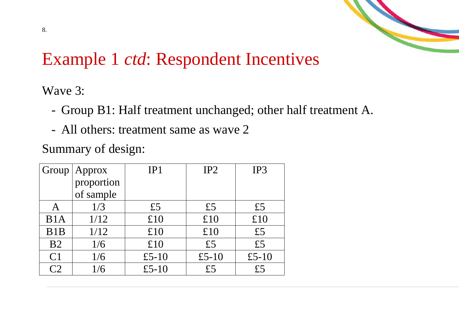

## Example 1 *ctd*: Respondent Incentives

Wave 3:

- Group B1: Half treatment unchanged; other half treatment A.
- All others: treatment same as wave 2

Summary of design:

| Group              | Approx     | IP1   | IP <sub>2</sub> | IP3   |  |
|--------------------|------------|-------|-----------------|-------|--|
|                    | proportion |       |                 |       |  |
|                    | of sample  |       |                 |       |  |
| Α                  | 1/3        | £5    | £5              | £5    |  |
| B1A                | 1/12       | £10   | £10             | £10   |  |
| B <sub>1</sub> B   | 1/12       | £10   | £10             | £5    |  |
| B <sub>2</sub>     | 1/6        | £10   | £5              | £5    |  |
| C <sub>1</sub>     | 1/6        | £5-10 | £5-10           | £5-10 |  |
| $\curvearrowright$ | 1/6        | £5-10 | £5              | f5    |  |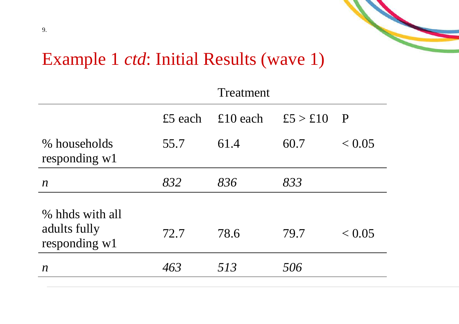

#### Example 1 *ctd*: Initial Results (wave 1)

|                                                  | Treatment |          |          |             |  |
|--------------------------------------------------|-----------|----------|----------|-------------|--|
|                                                  | £5 each   | £10 each | £5 > £10 | $\mathbf P$ |  |
| % households<br>responding $w1$                  | 55.7      | 61.4     | 60.7     | < 0.05      |  |
| $\boldsymbol{n}$                                 | 832       | 836      | 833      |             |  |
| % hhds with all<br>adults fully<br>responding w1 | 72.7      | 78.6     | 79.7     | < 0.05      |  |
| $\boldsymbol{n}$                                 | 463       | 513      | 506      |             |  |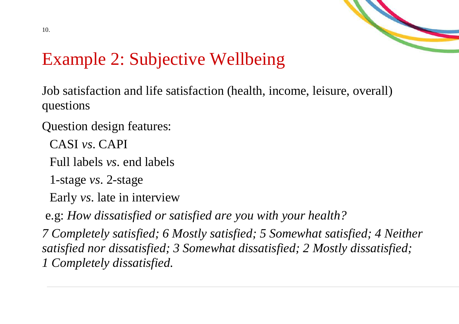

Job satisfaction and life satisfaction (health, income, leisure, overall) questions

- Question design features:
	- CASI *vs*. CAPI
	- Full labels *vs*. end labels
	- 1-stage *vs*. 2-stage
	- Early *vs*. late in interview

e.g: *How dissatisfied or satisfied are you with your health?* 

*7 Completely satisfied; 6 Mostly satisfied; 5 Somewhat satisfied; 4 Neither satisfied nor dissatisfied; 3 Somewhat dissatisfied; 2 Mostly dissatisfied; 1 Completely dissatisfied.*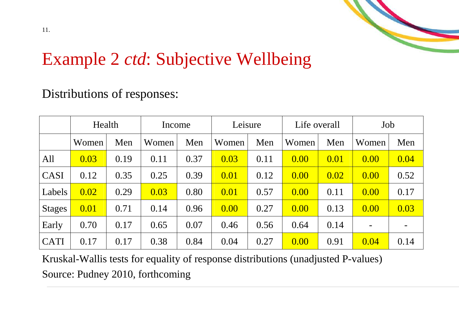

#### Distributions of responses:

|               | Health |      | Income |      | Leisure |      | Life overall |      | Job                      |      |
|---------------|--------|------|--------|------|---------|------|--------------|------|--------------------------|------|
|               | Women  | Men  | Women  | Men  | Women   | Men  | Women        | Men  | Women                    | Men  |
| All           | 0.03   | 0.19 | 0.11   | 0.37 | 0.03    | 0.11 | 0.00         | 0.01 | 0.00                     | 0.04 |
| CASI          | 0.12   | 0.35 | 0.25   | 0.39 | 0.01    | 0.12 | 0.00         | 0.02 | 0.00                     | 0.52 |
| Labels        | 0.02   | 0.29 | 0.03   | 0.80 | 0.01    | 0.57 | 0.00         | 0.11 | 0.00                     | 0.17 |
| <b>Stages</b> | 0.01   | 0.71 | 0.14   | 0.96 | 0.00    | 0.27 | 0.00         | 0.13 | 0.00                     | 0.03 |
| Early         | 0.70   | 0.17 | 0.65   | 0.07 | 0.46    | 0.56 | 0.64         | 0.14 | $\overline{\phantom{a}}$ |      |
| <b>CATI</b>   | 0.17   | 0.17 | 0.38   | 0.84 | 0.04    | 0.27 | 0.00         | 0.91 | 0.04                     | 0.14 |

Kruskal-Wallis tests for equality of response distributions (unadjusted P-values) Source: Pudney 2010, forthcoming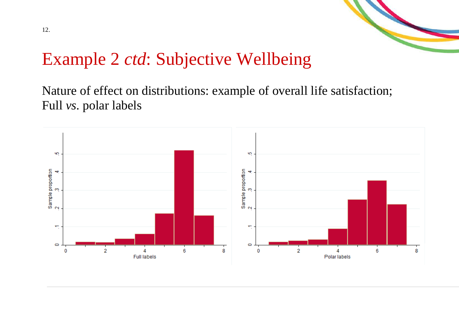

Nature of effect on distributions: example of overall life satisfaction; Full *vs*. polar labels

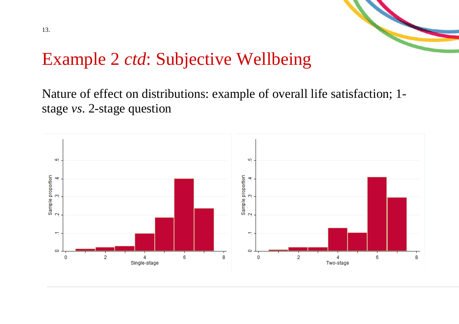

Nature of effect on distributions: example of overall life satisfaction; 1stage *vs*. 2-stage question

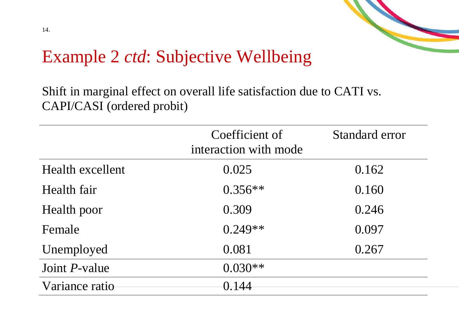

Shift in marginal effect on overall life satisfaction due to CATI vs. CAPI/CASI (ordered probit)

|                       | Coefficient of<br>interaction with mode | Standard error |
|-----------------------|-----------------------------------------|----------------|
| Health excellent      | 0.025                                   | 0.162          |
| Health fair           | $0.356**$                               | 0.160          |
| Health poor           | 0.309                                   | 0.246          |
| Female                | $0.249**$                               | 0.097          |
| Unemployed            | 0.081                                   | 0.267          |
| Joint <i>P</i> -value | $0.030**$                               |                |
| Variance ratio        | 0.144                                   |                |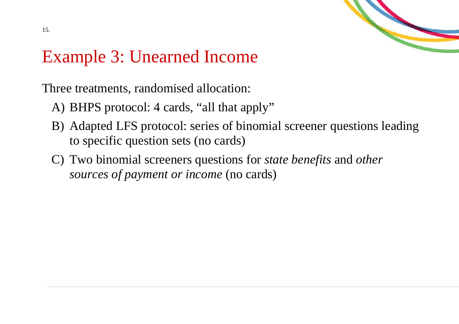

## Example 3: Unearned Income

Three treatments, randomised allocation:

- A) BHPS protocol: 4 cards, "all that apply"
- B) Adapted LFS protocol: series of binomial screener questions leading to specific question sets (no cards)
- C) Two binomial screeners questions for *state benefits* and *other sources of payment or income* (no cards)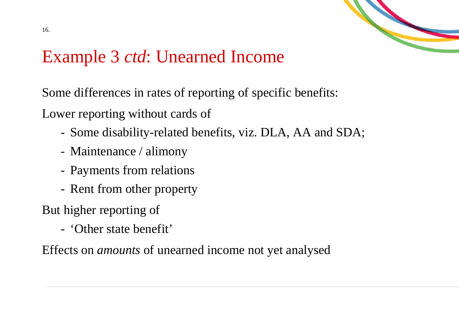

#### Example 3 *ctd*: Unearned Income

Some differences in rates of reporting of specific benefits:

Lower reporting without cards of

- Some disability-related benefits, viz. DLA, AA and SDA;
- Maintenance / alimony
- Payments from relations
- Rent from other property

But higher reporting of

'Other state benefit'

Effects on *amounts* of unearned income not yet analysed